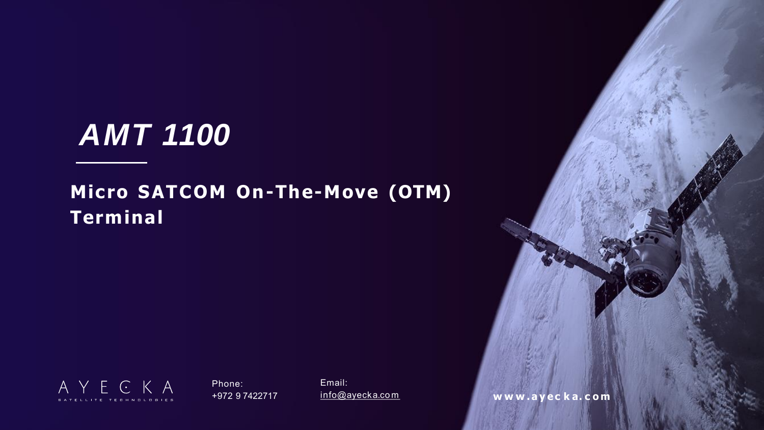Phone: +972 9 7422717 Email:

[info@ayecka.co m](mailto:info@ayecka.com) **w w w . a y e c k a. c o m**

# *AMT 1100*

## **Micro SATCOM On-The-Move (OTM) Terminal**

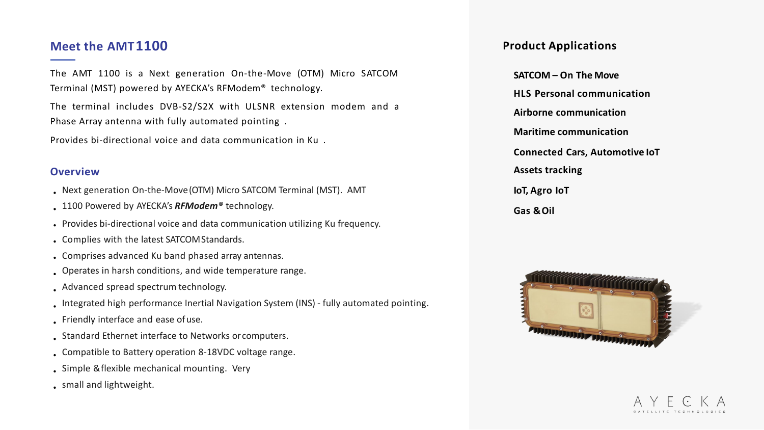### **Product Applications**

- **SATCOM – On The Move**
- **HLS Personal communication**
- **Airborne communication**
- **Maritime communication**
- **Connected Cars, Automotive IoT**
- **Assets tracking**
- **IoT, Agro IoT**
- **Gas &Oil**





The AMT 1100 is a Next generation On-the-Move (OTM) Micro SATCOM Terminal (MST) powered by AYECKA's RFModem® technology.

The terminal includes DVB-S2/S2X with ULSNR extension modem and a Phase Array antenna with fully automated pointing .

Provides bi-directional voice and data communication in Ku .

## **Meet the AMT1100**

#### **Overview**

- Next generation On-the-Move(OTM) Micro SATCOM Terminal (MST). AMT
- 1100 Powered by AYECKA's *RFModem®* technology.
- Provides bi-directional voice and data communication utilizing Ku frequency.
- Complies with the latest SATCOMStandards.
- Comprises advanced Ku band phased array antennas.
- Operates in harsh conditions, and wide temperature range.
- . Advanced spread spectrum technology.
- . Integrated high performance Inertial Navigation System (INS) fully automated pointing.
- Friendly interface and ease ofuse.
- Standard Ethernet interface to Networks orcomputers.
- . Compatible to Battery operation 8-18VDC voltage range.
- . Simple & flexible mechanical mounting. Very
- small and lightweight.